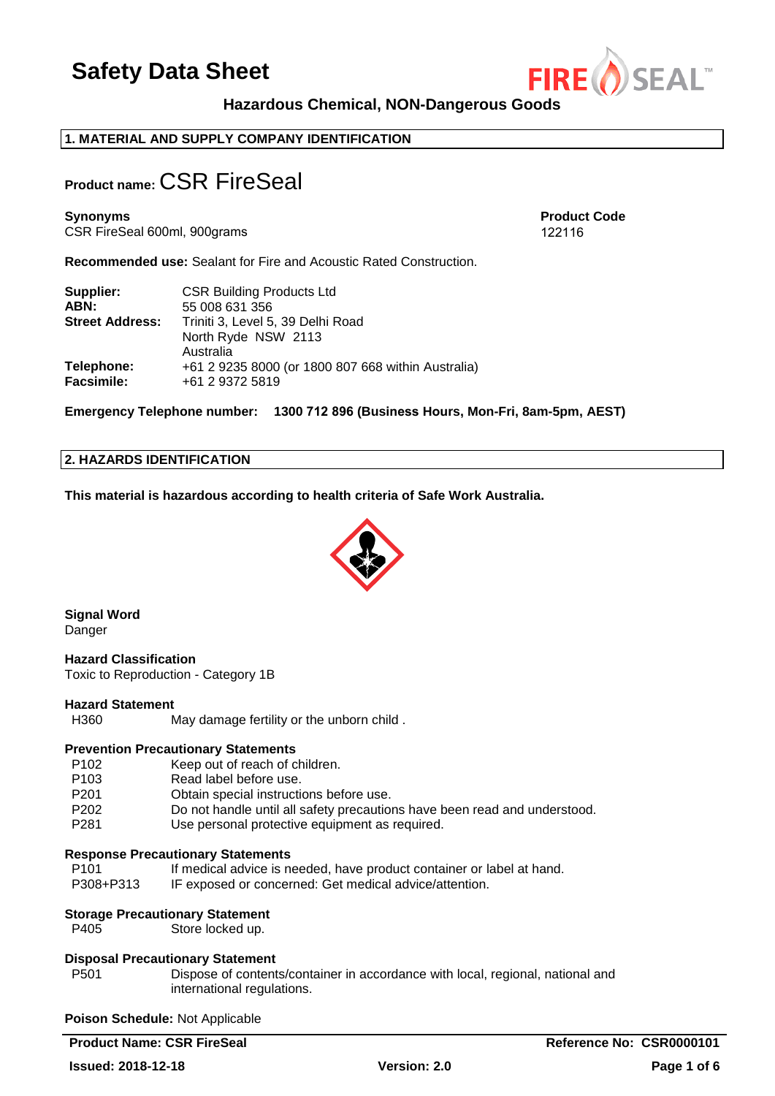

**Product Code** 122116

**Hazardous Chemical, NON-Dangerous Goods** 

### **1. MATERIAL AND SUPPLY COMPANY IDENTIFICATION**

# **Product name:** CSR FireSeal

**Synonyms**  CSR FireSeal 600ml, 900grams

**Recommended use:** Sealant for Fire and Acoustic Rated Construction.

| Supplier:              | <b>CSR Building Products Ltd</b>                   |  |
|------------------------|----------------------------------------------------|--|
| ABN:                   | 55 008 631 356                                     |  |
| <b>Street Address:</b> | Triniti 3, Level 5, 39 Delhi Road                  |  |
|                        | North Ryde NSW 2113                                |  |
|                        | Australia                                          |  |
| Telephone:             | +61 2 9235 8000 (or 1800 807 668 within Australia) |  |
| <b>Facsimile:</b>      | +61 2 9372 5819                                    |  |

**Emergency Telephone number: 1300 712 896 (Business Hours, Mon-Fri, 8am-5pm, AEST)**

#### **2. HAZARDS IDENTIFICATION**

**This material is hazardous according to health criteria of Safe Work Australia.**



**Signal Word**  Danger

**Hazard Classification**  Toxic to Reproduction - Category 1B

#### **Hazard Statement**

H360 May damage fertility or the unborn child .

### **Prevention Precautionary Statements**

P102 Keep out of reach of children. P103 Read label before use. P201 Obtain special instructions before use.<br>P202 Do not bandle until all safety precaution P202 Do not handle until all safety precautions have been read and understood.<br>P281 Use personal protective equipment as required. Use personal protective equipment as required.

#### **Response Precautionary Statements**

P101 If medical advice is needed, have product container or label at hand. P308+P313 IF exposed or concerned: Get medical advice/attention.

#### **Storage Precautionary Statement**

P405 Store locked up.

#### **Disposal Precautionary Statement**

P501 Dispose of contents/container in accordance with local, regional, national and international regulations.

**Poison Schedule:** Not Applicable

**Product Name: CSR FireSeal <b>Reference No: CSR0000101**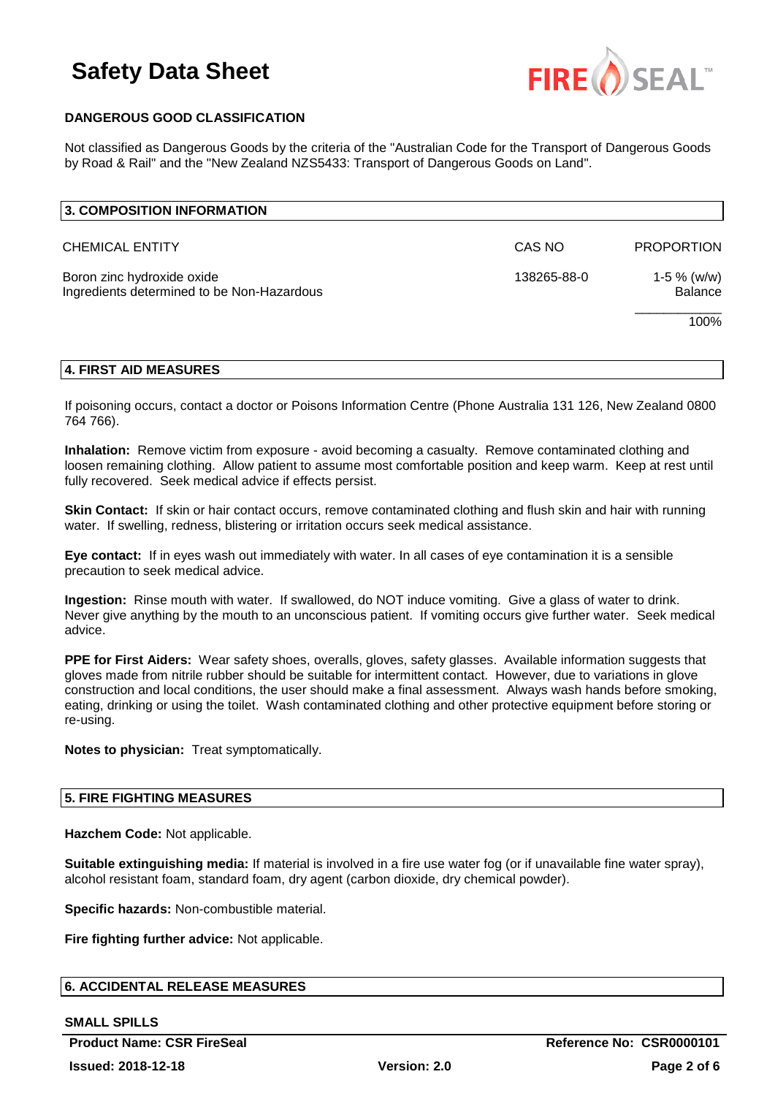

# **DANGEROUS GOOD CLASSIFICATION**

Not classified as Dangerous Goods by the criteria of the "Australian Code for the Transport of Dangerous Goods by Road & Rail" and the "New Zealand NZS5433: Transport of Dangerous Goods on Land".

### **4. FIRST AID MEASURES**

If poisoning occurs, contact a doctor or Poisons Information Centre (Phone Australia 131 126, New Zealand 0800 764 766).

**Inhalation:** Remove victim from exposure - avoid becoming a casualty. Remove contaminated clothing and loosen remaining clothing. Allow patient to assume most comfortable position and keep warm. Keep at rest until fully recovered. Seek medical advice if effects persist.

**Skin Contact:** If skin or hair contact occurs, remove contaminated clothing and flush skin and hair with running water. If swelling, redness, blistering or irritation occurs seek medical assistance.

**Eye contact:** If in eyes wash out immediately with water. In all cases of eye contamination it is a sensible precaution to seek medical advice.

**Ingestion:** Rinse mouth with water. If swallowed, do NOT induce vomiting. Give a glass of water to drink. Never give anything by the mouth to an unconscious patient. If vomiting occurs give further water. Seek medical advice.

**PPE for First Aiders:** Wear safety shoes, overalls, gloves, safety glasses. Available information suggests that gloves made from nitrile rubber should be suitable for intermittent contact. However, due to variations in glove construction and local conditions, the user should make a final assessment. Always wash hands before smoking, eating, drinking or using the toilet. Wash contaminated clothing and other protective equipment before storing or re-using.

**Notes to physician:** Treat symptomatically.

#### **5. FIRE FIGHTING MEASURES**

**Hazchem Code:** Not applicable.

**Suitable extinguishing media:** If material is involved in a fire use water fog (or if unavailable fine water spray), alcohol resistant foam, standard foam, dry agent (carbon dioxide, dry chemical powder).

**Specific hazards:** Non-combustible material.

**Fire fighting further advice:** Not applicable.

### **6. ACCIDENTAL RELEASE MEASURES**

#### **SMALL SPILLS**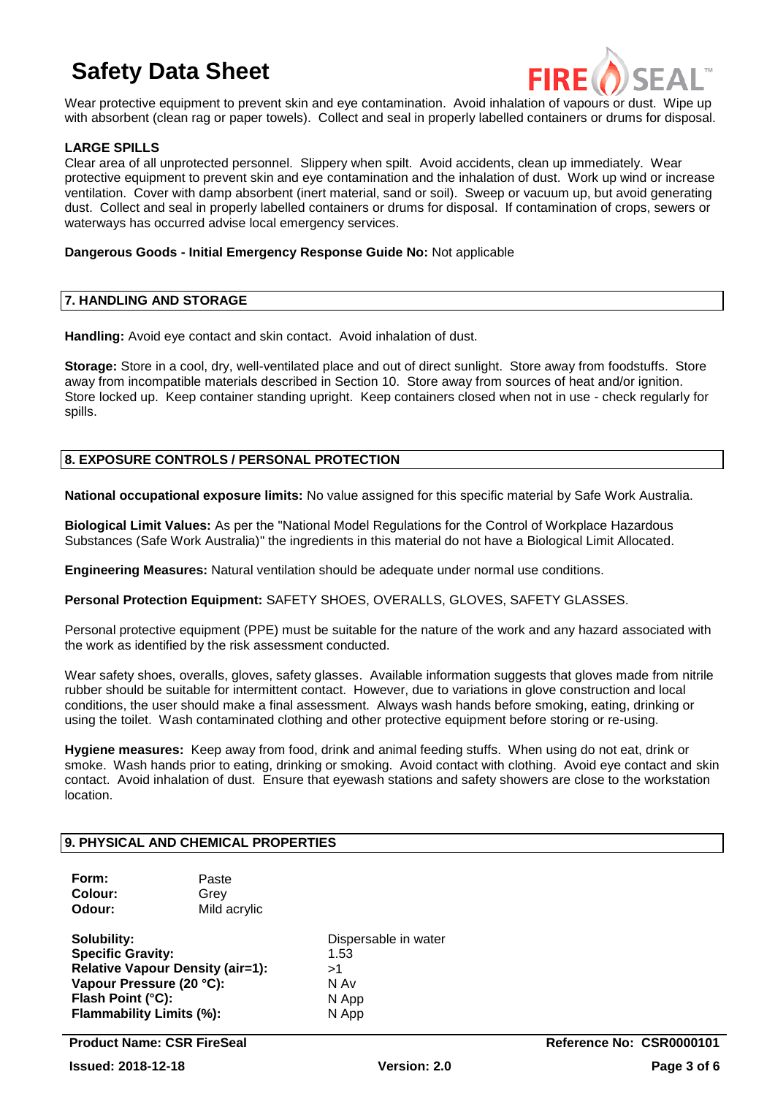

Wear protective equipment to prevent skin and eye contamination. Avoid inhalation of vapours or dust. Wipe up with absorbent (clean rag or paper towels). Collect and seal in properly labelled containers or drums for disposal.

# **LARGE SPILLS**

Clear area of all unprotected personnel. Slippery when spilt. Avoid accidents, clean up immediately. Wear protective equipment to prevent skin and eye contamination and the inhalation of dust. Work up wind or increase ventilation. Cover with damp absorbent (inert material, sand or soil). Sweep or vacuum up, but avoid generating dust. Collect and seal in properly labelled containers or drums for disposal. If contamination of crops, sewers or waterways has occurred advise local emergency services.

#### **Dangerous Goods - Initial Emergency Response Guide No:** Not applicable

### **7. HANDLING AND STORAGE**

**Handling:** Avoid eye contact and skin contact. Avoid inhalation of dust.

**Storage:** Store in a cool, dry, well-ventilated place and out of direct sunlight. Store away from foodstuffs. Store away from incompatible materials described in Section 10. Store away from sources of heat and/or ignition. Store locked up. Keep container standing upright. Keep containers closed when not in use - check regularly for spills.

### **8. EXPOSURE CONTROLS / PERSONAL PROTECTION**

**National occupational exposure limits:** No value assigned for this specific material by Safe Work Australia.

**Biological Limit Values:** As per the "National Model Regulations for the Control of Workplace Hazardous Substances (Safe Work Australia)" the ingredients in this material do not have a Biological Limit Allocated.

**Engineering Measures:** Natural ventilation should be adequate under normal use conditions.

**Personal Protection Equipment:** SAFETY SHOES, OVERALLS, GLOVES, SAFETY GLASSES.

Personal protective equipment (PPE) must be suitable for the nature of the work and any hazard associated with the work as identified by the risk assessment conducted.

Wear safety shoes, overalls, gloves, safety glasses. Available information suggests that gloves made from nitrile rubber should be suitable for intermittent contact. However, due to variations in glove construction and local conditions, the user should make a final assessment. Always wash hands before smoking, eating, drinking or using the toilet. Wash contaminated clothing and other protective equipment before storing or re-using.

**Hygiene measures:** Keep away from food, drink and animal feeding stuffs. When using do not eat, drink or smoke. Wash hands prior to eating, drinking or smoking. Avoid contact with clothing. Avoid eye contact and skin contact. Avoid inhalation of dust. Ensure that eyewash stations and safety showers are close to the workstation location.

#### **9. PHYSICAL AND CHEMICAL PROPERTIES**

| Form:<br>Colour:<br>Odour:              | Paste<br>Grev<br>Mild acrylic |                      |
|-----------------------------------------|-------------------------------|----------------------|
| Solubility:                             |                               | Dispersable in water |
| <b>Specific Gravity:</b>                |                               | 1.53                 |
| <b>Relative Vapour Density (air=1):</b> |                               | >1                   |
| Vapour Pressure (20 °C):                |                               | N Av                 |
| Flash Point (°C):                       |                               | N App                |
| <b>Flammability Limits (%):</b>         |                               | N App                |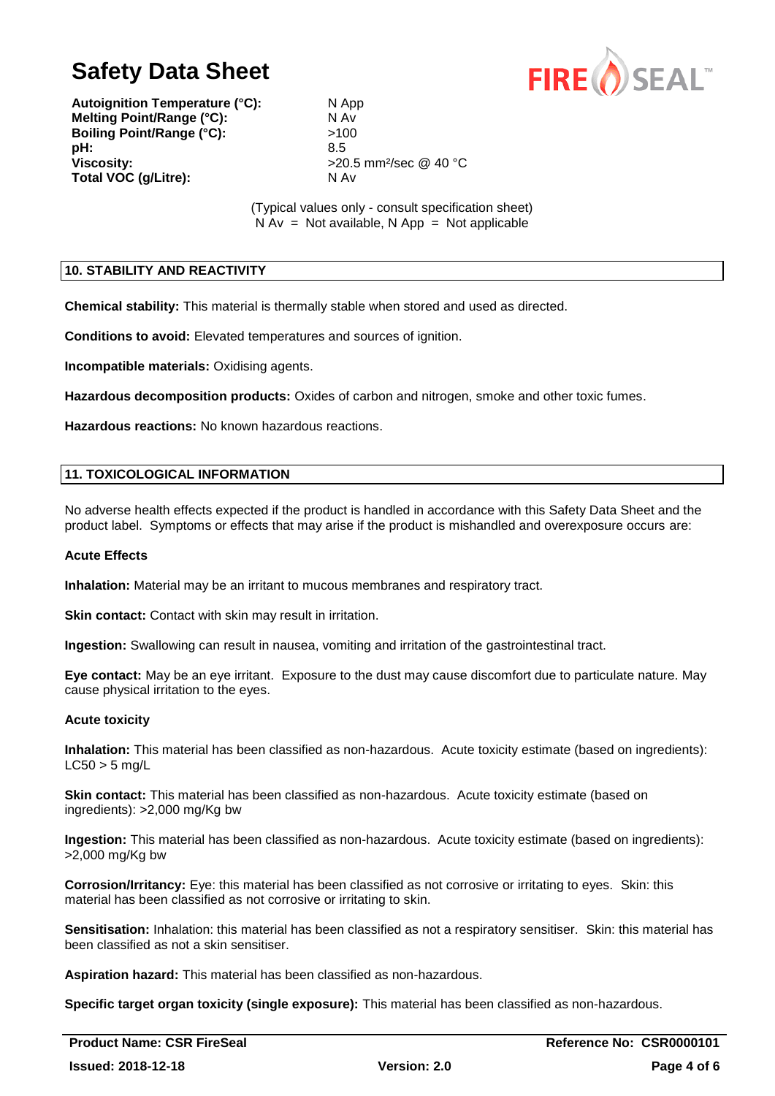**Autoignition Temperature (°C):** N App **Melting Point/Range (°C):** N Av **Boiling Point/Range (°C):**  $>100$ **pH:** 8.5 **Viscosity:**  $>20.5$  mm<sup>2</sup>/sec @ 40 °C **Total VOC (g/Litre):** N Av

(Typical values only - consult specification sheet)  $N Av = Not available, N App = Not applicable$ 

# **10. STABILITY AND REACTIVITY**

**Chemical stability:** This material is thermally stable when stored and used as directed.

**Conditions to avoid:** Elevated temperatures and sources of ignition.

**Incompatible materials:** Oxidising agents.

**Hazardous decomposition products:** Oxides of carbon and nitrogen, smoke and other toxic fumes.

**Hazardous reactions:** No known hazardous reactions.

### **11. TOXICOLOGICAL INFORMATION**

No adverse health effects expected if the product is handled in accordance with this Safety Data Sheet and the product label. Symptoms or effects that may arise if the product is mishandled and overexposure occurs are:

#### **Acute Effects**

**Inhalation:** Material may be an irritant to mucous membranes and respiratory tract.

**Skin contact:** Contact with skin may result in irritation.

**Ingestion:** Swallowing can result in nausea, vomiting and irritation of the gastrointestinal tract.

**Eye contact:** May be an eye irritant. Exposure to the dust may cause discomfort due to particulate nature. May cause physical irritation to the eyes.

#### **Acute toxicity**

**Inhalation:** This material has been classified as non-hazardous. Acute toxicity estimate (based on ingredients):  $LC50 > 5$  mg/L

**Skin contact:** This material has been classified as non-hazardous. Acute toxicity estimate (based on ingredients): >2,000 mg/Kg bw

**Ingestion:** This material has been classified as non-hazardous. Acute toxicity estimate (based on ingredients): >2,000 mg/Kg bw

**Corrosion/Irritancy:** Eye: this material has been classified as not corrosive or irritating to eyes. Skin: this material has been classified as not corrosive or irritating to skin.

**Sensitisation:** Inhalation: this material has been classified as not a respiratory sensitiser. Skin: this material has been classified as not a skin sensitiser.

**Aspiration hazard:** This material has been classified as non-hazardous.

**Specific target organ toxicity (single exposure):** This material has been classified as non-hazardous.

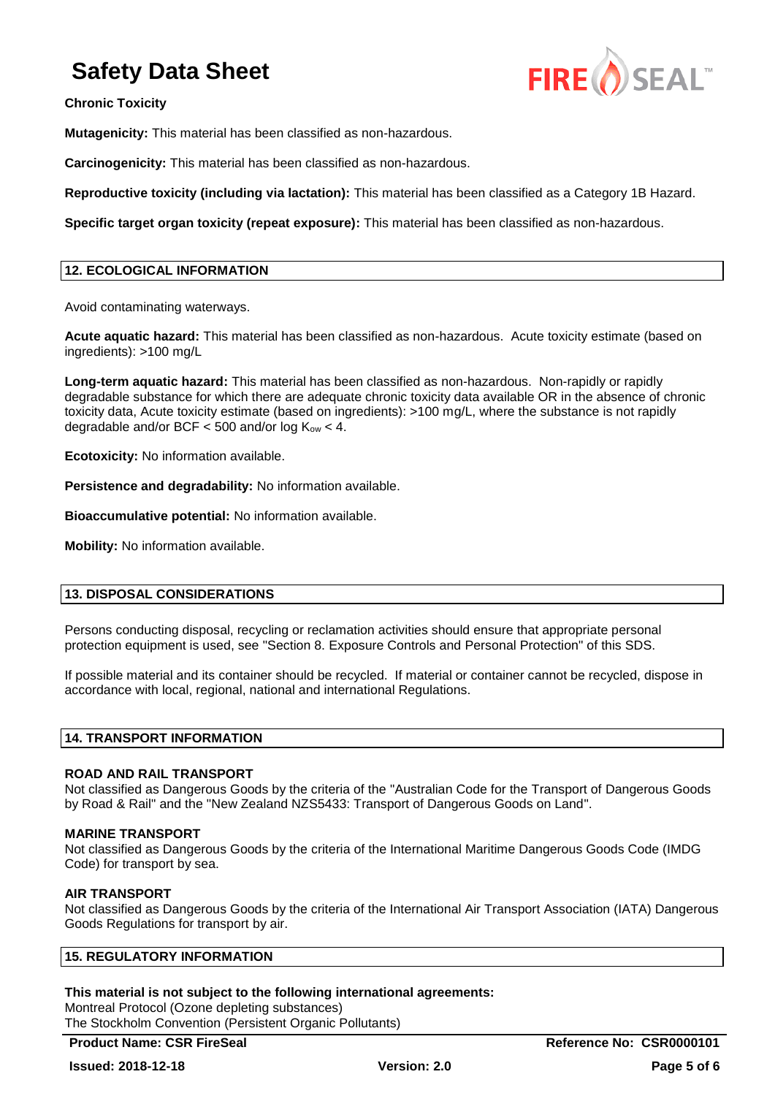**Chronic Toxicity** 



**Mutagenicity:** This material has been classified as non-hazardous.

**Carcinogenicity:** This material has been classified as non-hazardous.

**Reproductive toxicity (including via lactation):** This material has been classified as a Category 1B Hazard.

**Specific target organ toxicity (repeat exposure):** This material has been classified as non-hazardous.

### **12. ECOLOGICAL INFORMATION**

Avoid contaminating waterways.

**Acute aquatic hazard:** This material has been classified as non-hazardous. Acute toxicity estimate (based on ingredients): >100 mg/L

**Long-term aquatic hazard:** This material has been classified as non-hazardous. Non-rapidly or rapidly degradable substance for which there are adequate chronic toxicity data available OR in the absence of chronic toxicity data, Acute toxicity estimate (based on ingredients): >100 mg/L, where the substance is not rapidly degradable and/or BCF  $<$  500 and/or log  $K_{ow}$   $<$  4.

**Ecotoxicity:** No information available.

**Persistence and degradability:** No information available.

**Bioaccumulative potential:** No information available.

**Mobility:** No information available.

### **13. DISPOSAL CONSIDERATIONS**

Persons conducting disposal, recycling or reclamation activities should ensure that appropriate personal protection equipment is used, see "Section 8. Exposure Controls and Personal Protection" of this SDS.

If possible material and its container should be recycled. If material or container cannot be recycled, dispose in accordance with local, regional, national and international Regulations.

#### **14. TRANSPORT INFORMATION**

#### **ROAD AND RAIL TRANSPORT**

Not classified as Dangerous Goods by the criteria of the "Australian Code for the Transport of Dangerous Goods by Road & Rail" and the "New Zealand NZS5433: Transport of Dangerous Goods on Land".

#### **MARINE TRANSPORT**

Not classified as Dangerous Goods by the criteria of the International Maritime Dangerous Goods Code (IMDG Code) for transport by sea.

#### **AIR TRANSPORT**

Not classified as Dangerous Goods by the criteria of the International Air Transport Association (IATA) Dangerous Goods Regulations for transport by air.

#### **This material is not subject to the following international agreements:**

Montreal Protocol (Ozone depleting substances) The Stockholm Convention (Persistent Organic Pollutants)

**Product Name: CSR FireSeal <b>Reference No: CSR0000101**